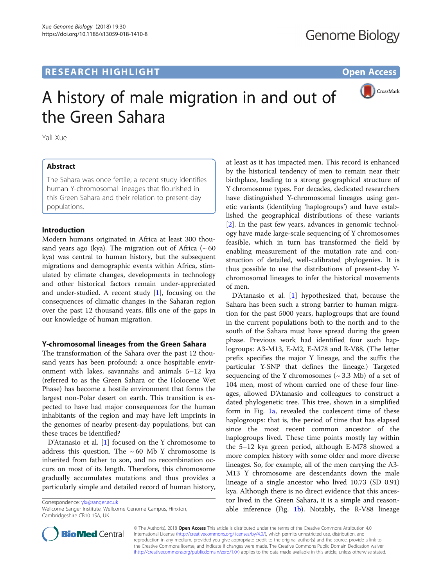# **RESEARCH HIGHLIGHT CONSUMING THE OPEN ACCESS**



# A history of male migration in and out of the Green Sahara

Yali Xue

# Abstract

The Sahara was once fertile; a recent study identifies human Y-chromosomal lineages that flourished in this Green Sahara and their relation to present-day populations.

## Introduction

Modern humans originated in Africa at least 300 thousand years ago (kya). The migration out of Africa ( $\sim 60$ ) kya) was central to human history, but the subsequent migrations and demographic events within Africa, stimulated by climate changes, developments in technology and other historical factors remain under-appreciated and under-studied. A recent study [[1\]](#page-2-0), focusing on the consequences of climatic changes in the Saharan region over the past 12 thousand years, fills one of the gaps in our knowledge of human migration.

# Y-chromosomal lineages from the Green Sahara

The transformation of the Sahara over the past 12 thousand years has been profound: a once hospitable environment with lakes, savannahs and animals 5–12 kya (referred to as the Green Sahara or the Holocene Wet Phase) has become a hostile environment that forms the largest non-Polar desert on earth. This transition is expected to have had major consequences for the human inhabitants of the region and may have left imprints in the genomes of nearby present-day populations, but can these traces be identified?

D'Atanasio et al. [[1](#page-2-0)] focused on the Y chromosome to address this question. The  $\sim 60$  Mb Y chromosome is inherited from father to son, and no recombination occurs on most of its length. Therefore, this chromosome gradually accumulates mutations and thus provides a particularly simple and detailed record of human history,

Correspondence: [ylx@sanger.ac.uk](mailto:ylx@sanger.ac.uk)

at least as it has impacted men. This record is enhanced by the historical tendency of men to remain near their birthplace, leading to a strong geographical structure of Y chromosome types. For decades, dedicated researchers have distinguished Y-chromosomal lineages using genetic variants (identifying 'haplogroups') and have established the geographical distributions of these variants [[2\]](#page-2-0). In the past few years, advances in genomic technology have made large-scale sequencing of Y chromosomes feasible, which in turn has transformed the field by enabling measurement of the mutation rate and construction of detailed, well-calibrated phylogenies. It is thus possible to use the distributions of present-day Ychromosomal lineages to infer the historical movements of men.

D'Atanasio et al. [[1\]](#page-2-0) hypothesized that, because the Sahara has been such a strong barrier to human migration for the past 5000 years, haplogroups that are found in the current populations both to the north and to the south of the Sahara must have spread during the green phase. Previous work had identified four such haplogroups: A3-M13, E-M2, E-M78 and R-V88. (The letter prefix specifies the major Y lineage, and the suffix the particular Y-SNP that defines the lineage.) Targeted sequencing of the Y chromosomes  $({\sim} 3.3 \text{ Mb})$  of a set of 104 men, most of whom carried one of these four lineages, allowed D'Atanasio and colleagues to construct a dated phylogenetic tree. This tree, shown in a simplified form in Fig. [1a](#page-1-0), revealed the coalescent time of these haplogroups: that is, the period of time that has elapsed since the most recent common ancestor of the haplogroups lived. These time points mostly lay within the 5–12 kya green period, although E-M78 showed a more complex history with some older and more diverse lineages. So, for example, all of the men carrying the A3- M13 Y chromosome are descendants down the male lineage of a single ancestor who lived 10.73 (SD 0.91) kya. Although there is no direct evidence that this ancestor lived in the Green Sahara, it is a simple and reasonable inference (Fig.  $1b$ ). Notably, the R-V88 lineage



© The Author(s). 2018 Open Access This article is distributed under the terms of the Creative Commons Attribution 4.0 International License [\(http://creativecommons.org/licenses/by/4.0/](http://creativecommons.org/licenses/by/4.0/)), which permits unrestricted use, distribution, and reproduction in any medium, provided you give appropriate credit to the original author(s) and the source, provide a link to the Creative Commons license, and indicate if changes were made. The Creative Commons Public Domain Dedication waiver [\(http://creativecommons.org/publicdomain/zero/1.0/](http://creativecommons.org/publicdomain/zero/1.0/)) applies to the data made available in this article, unless otherwise stated.

Wellcome Sanger Institute, Wellcome Genome Campus, Hinxton, Cambridgeshire CB10 1SA, UK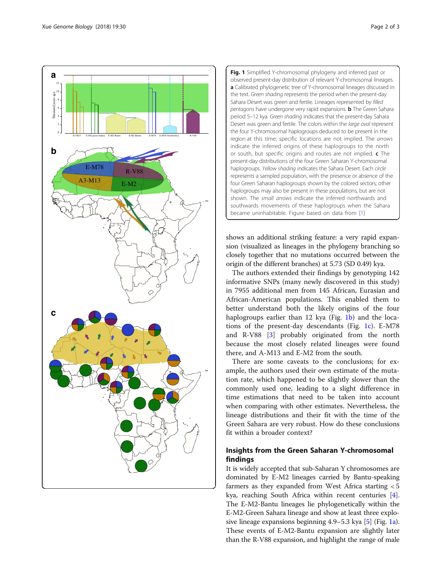<span id="page-1-0"></span>

Fig. 1 Simplified Y-chromosomal phylogeny and inferred past or observed present-day distribution of relevant Y-chromosomal lineages. a Calibrated phylogenetic tree of Y-chromosomal lineages discussed in the text. Green shading represents the period when the present-day Sahara Desert was green and fertile. Lineages represented by filled pentagons have undergone very rapid expansions. **b** The Green Sahara period 5-12 kya. Green shading indicates that the present-day Sahara Desert was green and fertile. The colors within the large oval represent the four Y-chromosomal haplogroups deduced to be present in the region at this time; specific locations are not implied. The arrows indicate the inferred origins of these haplogroups to the north or south, but specific origins and routes are not implied. c The present-day distributions of the four Green Saharan Y-chromosomal haplogroups. Yellow shading indicates the Sahara Desert. Each circle represents a sampled population, with the presence or absence of the four Green Saharan haplogroups shown by the colored sectors; other haplogroups may also be present in these populations, but are not shown. The small arrows indicate the inferred northwards and southwards movements of these haplogroups when the Sahara became uninhabitable. Figure based on data from [[1\]](#page-2-0)

shows an additional striking feature: a very rapid expansion (visualized as lineages in the phylogeny branching so closely together that no mutations occurred between the origin of the different branches) at 5.73 (SD 0.49) kya.

The authors extended their findings by genotyping 142 informative SNPs (many newly discovered in this study) in 7955 additional men from 145 African, Eurasian and African-American populations. This enabled them to better understand both the likely origins of the four haplogroups earlier than 12 kya (Fig. 1b) and the locations of the present-day descendants (Fig.  $1c$ ). E-M78 and R-V88 [[3\]](#page-2-0) probably originated from the north because the most closely related lineages were found there, and A-M13 and E-M2 from the south.

There are some caveats to the conclusions; for example, the authors used their own estimate of the mutation rate, which happened to be slightly slower than the commonly used one, leading to a slight difference in time estimations that need to be taken into account when comparing with other estimates. Nevertheless, the lineage distributions and their fit with the time of the Green Sahara are very robust. How do these conclusions fit within a broader context?

# Insights from the Green Saharan Y-chromosomal findings

It is widely accepted that sub-Saharan Y chromosomes are dominated by E-M2 lineages carried by Bantu-speaking farmers as they expanded from West Africa starting < 5 kya, reaching South Africa within recent centuries [[4](#page-2-0)]. The E-M2-Bantu lineages lie phylogenetically within the E-M2-Green Sahara lineage and show at least three explosive lineage expansions beginning 4.9–5.3 kya [\[5](#page-2-0)] (Fig. 1a). These events of E-M2-Bantu expansion are slightly later than the R-V88 expansion, and highlight the range of male